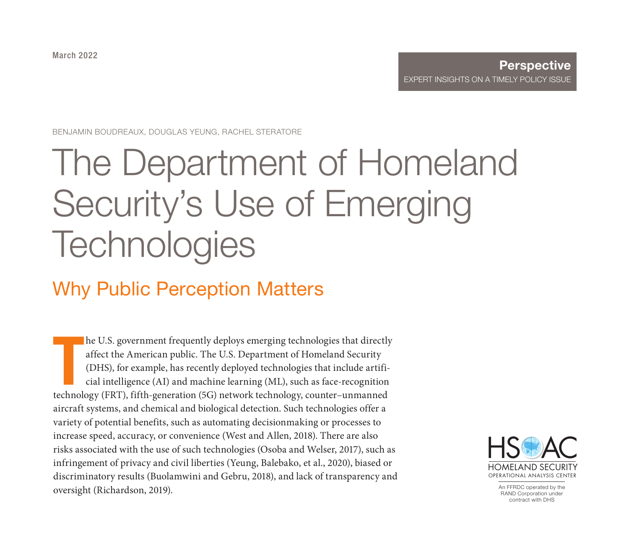March 2022

#### **Perspective** [EXPERT INSIGHTS ON A TIMELY](https://www.rand.org/pubs/perspectives/PEA691-1.html) POLICY ISSUE

BENJAMIN BOUDREAUX, DOUGLAS YEUNG, RACHEL STERATORE

# The Department of Homeland Security's Use of Emerging **Technologies**

# Why Public Perception Matters

T he U.S. government frequently deploys emerging technologies that directly affect the American public. The U.S. Department of Homeland Security (DHS), for example, has recently deployed technologies that include artificial intelligence (AI) and machine learning (ML), such as face-recognition technology (FRT), fifth-generation (5G) network technology, counter–unmanned aircraft systems, and chemical and biological detection. Such technologies offer a variety of potential benefits, such as automating decisionmaking or processes to increase speed, accuracy, or convenience (West and Allen, 2018). There are also risks associated with the use of such technologies (Osoba and Welser, 2017), such as infringement of privacy and civil liberties (Yeung, Balebako, et al., 2020), biased or discriminatory results (Buolamwini and Gebru, 2018), and lack of transparency and oversight (Richardson, 2019).



An FFRDC operated by the RAND Corporation under contract with DHS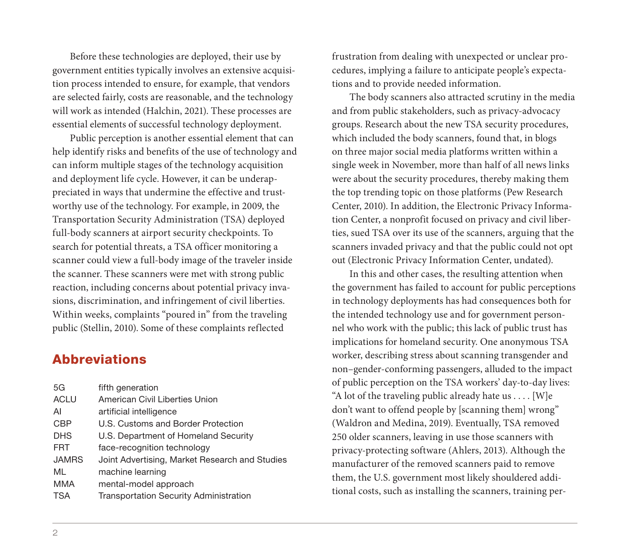Before these technologies are deployed, their use by government entities typically involves an extensive acquisition process intended to ensure, for example, that vendors are selected fairly, costs are reasonable, and the technology will work as intended (Halchin, 2021). These processes are essential elements of successful technology deployment.

Public perception is another essential element that can help identify risks and benefits of the use of technology and can inform multiple stages of the technology acquisition and deployment life cycle. However, it can be underappreciated in ways that undermine the effective and trustworthy use of the technology. For example, in 2009, the Transportation Security Administration (TSA) deployed full-body scanners at airport security checkpoints. To search for potential threats, a TSA officer monitoring a scanner could view a full-body image of the traveler inside the scanner. These scanners were met with strong public reaction, including concerns about potential privacy invasions, discrimination, and infringement of civil liberties. Within weeks, complaints "poured in" from the traveling public (Stellin, 2010). Some of these complaints reflected

# **Abbreviations**

| 5G           | fifth generation                               |
|--------------|------------------------------------------------|
| <b>ACLU</b>  | American Civil Liberties Union                 |
| Al           | artificial intelligence                        |
| <b>CBP</b>   | U.S. Customs and Border Protection             |
| <b>DHS</b>   | U.S. Department of Homeland Security           |
| <b>FRT</b>   | face-recognition technology                    |
| <b>JAMRS</b> | Joint Advertising, Market Research and Studies |
| ML           | machine learning                               |
| MMA          | mental-model approach                          |
| <b>TSA</b>   | Transportation Security Administration         |

frustration from dealing with unexpected or unclear procedures, implying a failure to anticipate people's expectations and to provide needed information.

The body scanners also attracted scrutiny in the media and from public stakeholders, such as privacy-advocacy groups. Research about the new TSA security procedures, which included the body scanners, found that, in blogs on three major social media platforms written within a single week in November, more than half of all news links were about the security procedures, thereby making them the top trending topic on those platforms (Pew Research Center, 2010). In addition, the Electronic Privacy Information Center, a nonprofit focused on privacy and civil liberties, sued TSA over its use of the scanners, arguing that the scanners invaded privacy and that the public could not opt out (Electronic Privacy Information Center, undated).

In this and other cases, the resulting attention when the government has failed to account for public perceptions in technology deployments has had consequences both for the intended technology use and for government personnel who work with the public; this lack of public trust has implications for homeland security. One anonymous TSA worker, describing stress about scanning transgender and non–gender-conforming passengers, alluded to the impact of public perception on the TSA workers' day-to-day lives: "A lot of the traveling public already hate us  $\dots$  [W]e don't want to offend people by [scanning them] wrong" (Waldron and Medina, 2019). Eventually, TSA removed 250 older scanners, leaving in use those scanners with privacy-protecting software (Ahlers, 2013). Although the manufacturer of the removed scanners paid to remove them, the U.S. government most likely shouldered additional costs, such as installing the scanners, training per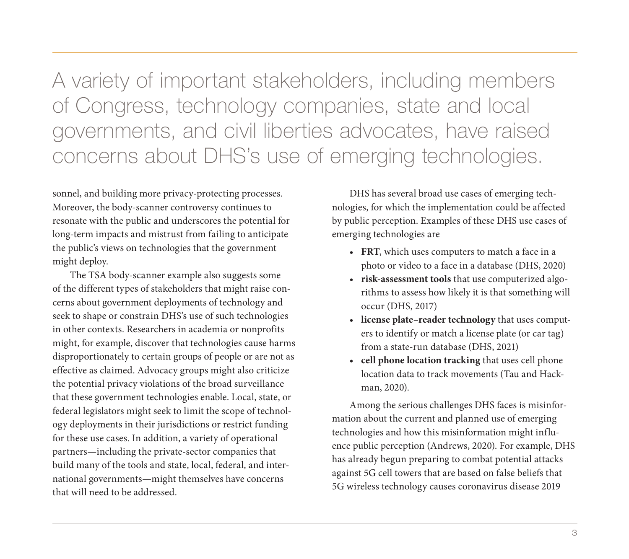A variety of important stakeholders, including members of Congress, technology companies, state and local governments, and civil liberties advocates, have raised concerns about DHS's use of emerging technologies.

sonnel, and building more privacy-protecting processes. Moreover, the body-scanner controversy continues to resonate with the public and underscores the potential for long-term impacts and mistrust from failing to anticipate the public's views on technologies that the government might deploy.

The TSA body-scanner example also suggests some of the different types of stakeholders that might raise concerns about government deployments of technology and seek to shape or constrain DHS's use of such technologies in other contexts. Researchers in academia or nonprofits might, for example, discover that technologies cause harms disproportionately to certain groups of people or are not as effective as claimed. Advocacy groups might also criticize the potential privacy violations of the broad surveillance that these government technologies enable. Local, state, or federal legislators might seek to limit the scope of technology deployments in their jurisdictions or restrict funding for these use cases. In addition, a variety of operational partners—including the private-sector companies that build many of the tools and state, local, federal, and international governments—might themselves have concerns that will need to be addressed.

DHS has several broad use cases of emerging technologies, for which the implementation could be affected by public perception. Examples of these DHS use cases of emerging technologies are

- **FRT**, which uses computers to match a face in a photo or video to a face in a database (DHS, 2020)
- **risk-assessment tools** that use computerized algorithms to assess how likely it is that something will occur (DHS, 2017)
- **license plate–reader technology** that uses computers to identify or match a license plate (or car tag) from a state-run database (DHS, 2021)
- **cell phone location tracking** that uses cell phone location data to track movements (Tau and Hackman, 2020).

Among the serious challenges DHS faces is misinformation about the current and planned use of emerging technologies and how this misinformation might influence public perception (Andrews, 2020). For example, DHS has already begun preparing to combat potential attacks against 5G cell towers that are based on false beliefs that 5G wireless technology causes coronavirus disease 2019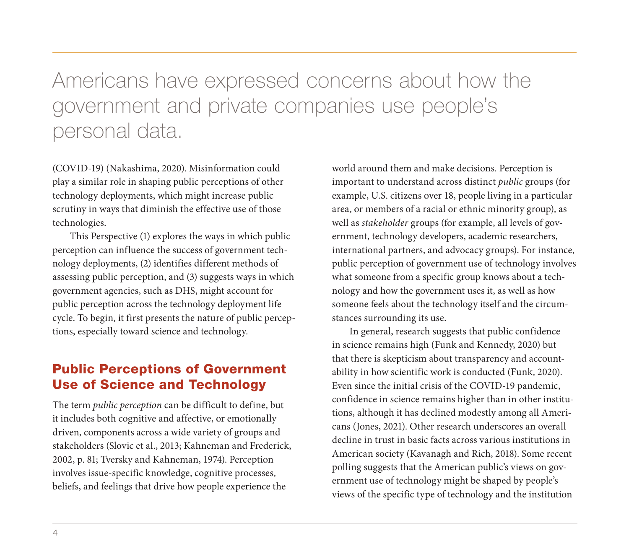# Americans have expressed concerns about how the government and private companies use people's personal data.

(COVID-19) (Nakashima, 2020). Misinformation could play a similar role in shaping public perceptions of other technology deployments, which might increase public scrutiny in ways that diminish the effective use of those technologies.

This Perspective (1) explores the ways in which public perception can influence the success of government technology deployments, (2) identifies different methods of assessing public perception, and (3) suggests ways in which government agencies, such as DHS, might account for public perception across the technology deployment life cycle. To begin, it first presents the nature of public perceptions, especially toward science and technology.

# Public Perceptions of Government Use of Science and Technology

The term *public perception* can be difficult to define, but it includes both cognitive and affective, or emotionally driven, components across a wide variety of groups and stakeholders (Slovic et al., 2013; Kahneman and Frederick, 2002, p. 81; Tversky and Kahneman, 1974). Perception involves issue-specific knowledge, cognitive processes, beliefs, and feelings that drive how people experience the

world around them and make decisions. Perception is important to understand across distinct *public* groups (for example, U.S. citizens over 18, people living in a particular area, or members of a racial or ethnic minority group), as well as *stakeholder* groups (for example, all levels of government, technology developers, academic researchers, international partners, and advocacy groups). For instance, public perception of government use of technology involves what someone from a specific group knows about a technology and how the government uses it, as well as how someone feels about the technology itself and the circumstances surrounding its use.

In general, research suggests that public confidence in science remains high (Funk and Kennedy, 2020) but that there is skepticism about transparency and accountability in how scientific work is conducted (Funk, 2020). Even since the initial crisis of the COVID-19 pandemic, confidence in science remains higher than in other institutions, although it has declined modestly among all Americans (Jones, 2021). Other research underscores an overall decline in trust in basic facts across various institutions in American society (Kavanagh and Rich, 2018). Some recent polling suggests that the American public's views on government use of technology might be shaped by people's views of the specific type of technology and the institution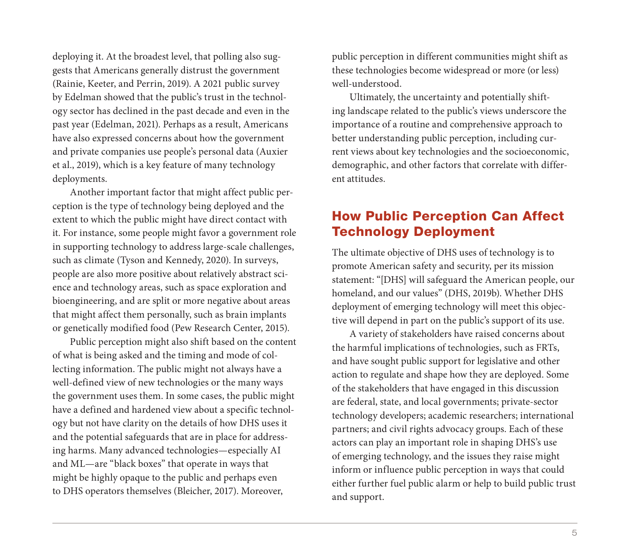deploying it. At the broadest level, that polling also suggests that Americans generally distrust the government (Rainie, Keeter, and Perrin, 2019). A 2021 public survey by Edelman showed that the public's trust in the technology sector has declined in the past decade and even in the past year (Edelman, 2021). Perhaps as a result, Americans have also expressed concerns about how the government and private companies use people's personal data (Auxier et al., 2019), which is a key feature of many technology deployments.

Another important factor that might affect public perception is the type of technology being deployed and the extent to which the public might have direct contact with it. For instance, some people might favor a government role in supporting technology to address large-scale challenges, such as climate (Tyson and Kennedy, 2020). In surveys, people are also more positive about relatively abstract science and technology areas, such as space exploration and bioengineering, and are split or more negative about areas that might affect them personally, such as brain implants or genetically modified food (Pew Research Center, 2015).

Public perception might also shift based on the content of what is being asked and the timing and mode of collecting information. The public might not always have a well-defined view of new technologies or the many ways the government uses them. In some cases, the public might have a defined and hardened view about a specific technology but not have clarity on the details of how DHS uses it and the potential safeguards that are in place for addressing harms. Many advanced technologies—especially AI and ML—are "black boxes" that operate in ways that might be highly opaque to the public and perhaps even to DHS operators themselves (Bleicher, 2017). Moreover,

public perception in different communities might shift as these technologies become widespread or more (or less) well-understood.

Ultimately, the uncertainty and potentially shifting landscape related to the public's views underscore the importance of a routine and comprehensive approach to better understanding public perception, including current views about key technologies and the socioeconomic, demographic, and other factors that correlate with different attitudes.

# How Public Perception Can Affect Technology Deployment

The ultimate objective of DHS uses of technology is to promote American safety and security, per its mission statement: "[DHS] will safeguard the American people, our homeland, and our values" (DHS, 2019b). Whether DHS deployment of emerging technology will meet this objective will depend in part on the public's support of its use.

A variety of stakeholders have raised concerns about the harmful implications of technologies, such as FRTs, and have sought public support for legislative and other action to regulate and shape how they are deployed. Some of the stakeholders that have engaged in this discussion are federal, state, and local governments; private-sector technology developers; academic researchers; international partners; and civil rights advocacy groups. Each of these actors can play an important role in shaping DHS's use of emerging technology, and the issues they raise might inform or influence public perception in ways that could either further fuel public alarm or help to build public trust and support.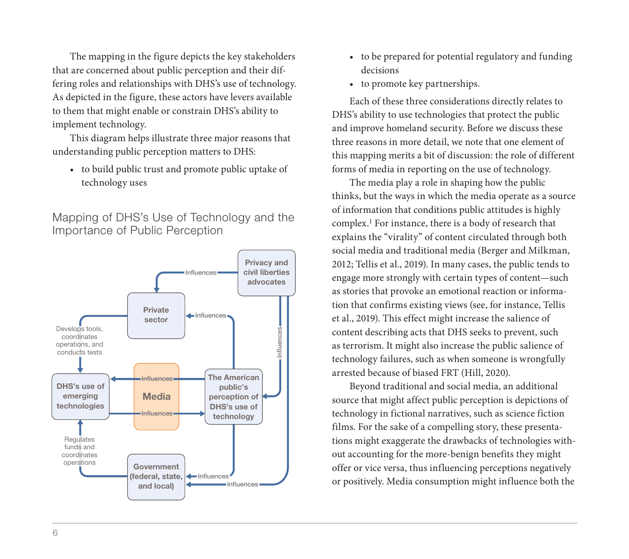The mapping in the figure depicts the key stakeholders that are concerned about public perception and their differing roles and relationships with DHS's use of technology. As depicted in the figure, these actors have levers available to them that might enable or constrain DHS's ability to implement technology.

This diagram helps illustrate three major reasons that understanding public perception matters to DHS:

• to build public trust and promote public uptake of technology uses



Mapping of DHS's Use of Technology and the Importance of Public Perception

- to be prepared for potential regulatory and funding decisions
- to promote key partnerships.

Each of these three considerations directly relates to DHS's ability to use technologies that protect the public and improve homeland security. Before we discuss these three reasons in more detail, we note that one element of this mapping merits a bit of discussion: the role of different forms of media in reporting on the use of technology.

The media play a role in shaping how the public thinks, but the ways in which the media operate as a source of information that conditions public attitudes is highly complex.1 For instance, there is a body of research that explains the "virality" of content circulated through both social media and traditional media (Berger and Milkman, 2012; Tellis et al., 2019). In many cases, the public tends to engage more strongly with certain types of content—such as stories that provoke an emotional reaction or information that confirms existing views (see, for instance, Tellis et al., 2019). This effect might increase the salience of content describing acts that DHS seeks to prevent, such as terrorism. It might also increase the public salience of technology failures, such as when someone is wrongfully arrested because of biased FRT (Hill, 2020).

Beyond traditional and social media, an additional source that might affect public perception is depictions of technology in fictional narratives, such as science fiction films. For the sake of a compelling story, these presentations might exaggerate the drawbacks of technologies without accounting for the more-benign benefits they might offer or vice versa, thus influencing perceptions negatively or positively. Media consumption might influence both the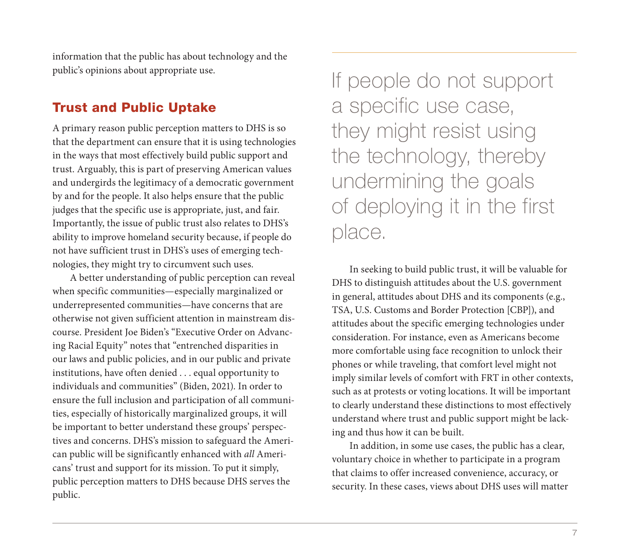information that the public has about technology and the public's opinions about appropriate use.

# Trust and Public Uptake

A primary reason public perception matters to DHS is so that the department can ensure that it is using technologies in the ways that most effectively build public support and trust. Arguably, this is part of preserving American values and undergirds the legitimacy of a democratic government by and for the people. It also helps ensure that the public judges that the specific use is appropriate, just, and fair. Importantly, the issue of public trust also relates to DHS's ability to improve homeland security because, if people do not have sufficient trust in DHS's uses of emerging technologies, they might try to circumvent such uses.

A better understanding of public perception can reveal when specific communities—especially marginalized or underrepresented communities—have concerns that are otherwise not given sufficient attention in mainstream discourse. President Joe Biden's "Executive Order on Advancing Racial Equity" notes that "entrenched disparities in our laws and public policies, and in our public and private institutions, have often denied . . . equal opportunity to individuals and communities" (Biden, 2021). In order to ensure the full inclusion and participation of all communities, especially of historically marginalized groups, it will be important to better understand these groups' perspectives and concerns. DHS's mission to safeguard the American public will be significantly enhanced with *all* Americans' trust and support for its mission. To put it simply, public perception matters to DHS because DHS serves the public.

If people do not support a specific use case, they might resist using the technology, thereby undermining the goals of deploying it in the first place.

In seeking to build public trust, it will be valuable for DHS to distinguish attitudes about the U.S. government in general, attitudes about DHS and its components (e.g., TSA, U.S. Customs and Border Protection [CBP]), and attitudes about the specific emerging technologies under consideration. For instance, even as Americans become more comfortable using face recognition to unlock their phones or while traveling, that comfort level might not imply similar levels of comfort with FRT in other contexts, such as at protests or voting locations. It will be important to clearly understand these distinctions to most effectively understand where trust and public support might be lacking and thus how it can be built.

In addition, in some use cases, the public has a clear, voluntary choice in whether to participate in a program that claims to offer increased convenience, accuracy, or security. In these cases, views about DHS uses will matter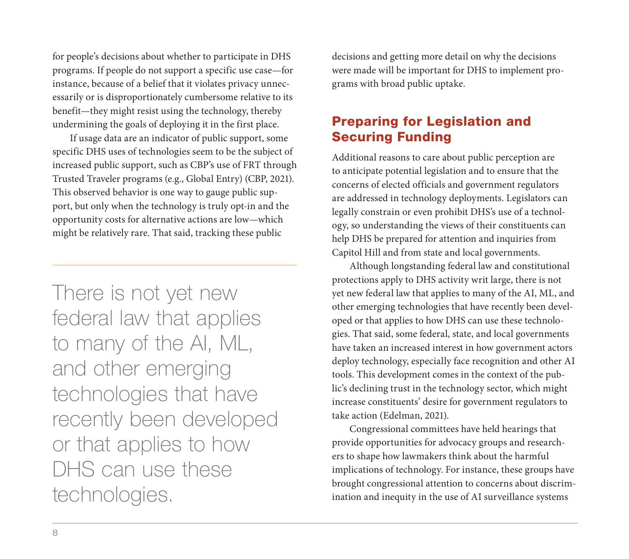for people's decisions about whether to participate in DHS programs. If people do not support a specific use case—for instance, because of a belief that it violates privacy unnecessarily or is disproportionately cumbersome relative to its benefit—they might resist using the technology, thereby undermining the goals of deploying it in the first place.

If usage data are an indicator of public support, some specific DHS uses of technologies seem to be the subject of increased public support, such as CBP's use of FRT through Trusted Traveler programs (e.g., Global Entry) (CBP, 2021). This observed behavior is one way to gauge public support, but only when the technology is truly opt-in and the opportunity costs for alternative actions are low—which might be relatively rare. That said, tracking these public

There is not yet new federal law that applies to many of the AI, ML, and other emerging technologies that have recently been developed or that applies to how DHS can use these technologies.

decisions and getting more detail on why the decisions were made will be important for DHS to implement programs with broad public uptake.

# Preparing for Legislation and Securing Funding

Additional reasons to care about public perception are to anticipate potential legislation and to ensure that the concerns of elected officials and government regulators are addressed in technology deployments. Legislators can legally constrain or even prohibit DHS's use of a technology, so understanding the views of their constituents can help DHS be prepared for attention and inquiries from Capitol Hill and from state and local governments.

Although longstanding federal law and constitutional protections apply to DHS activity writ large, there is not yet new federal law that applies to many of the AI, ML, and other emerging technologies that have recently been developed or that applies to how DHS can use these technologies. That said, some federal, state, and local governments have taken an increased interest in how government actors deploy technology, especially face recognition and other AI tools. This development comes in the context of the public's declining trust in the technology sector, which might increase constituents' desire for government regulators to take action (Edelman, 2021).

Congressional committees have held hearings that provide opportunities for advocacy groups and researchers to shape how lawmakers think about the harmful implications of technology. For instance, these groups have brought congressional attention to concerns about discrimination and inequity in the use of AI surveillance systems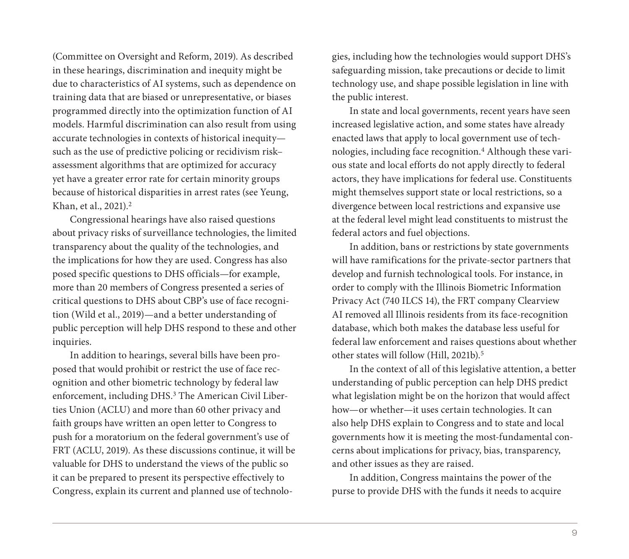(Committee on Oversight and Reform, 2019). As described in these hearings, discrimination and inequity might be due to characteristics of AI systems, such as dependence on training data that are biased or unrepresentative, or biases programmed directly into the optimization function of AI models. Harmful discrimination can also result from using accurate technologies in contexts of historical inequity such as the use of predictive policing or recidivism risk– assessment algorithms that are optimized for accuracy yet have a greater error rate for certain minority groups because of historical disparities in arrest rates (see Yeung, Khan, et al., 2021).2

Congressional hearings have also raised questions about privacy risks of surveillance technologies, the limited transparency about the quality of the technologies, and the implications for how they are used. Congress has also posed specific questions to DHS officials—for example, more than 20 members of Congress presented a series of critical questions to DHS about CBP's use of face recognition (Wild et al., 2019)—and a better understanding of public perception will help DHS respond to these and other inquiries.

In addition to hearings, several bills have been proposed that would prohibit or restrict the use of face recognition and other biometric technology by federal law enforcement, including DHS.3 The American Civil Liberties Union (ACLU) and more than 60 other privacy and faith groups have written an open letter to Congress to push for a moratorium on the federal government's use of FRT (ACLU, 2019). As these discussions continue, it will be valuable for DHS to understand the views of the public so it can be prepared to present its perspective effectively to Congress, explain its current and planned use of technologies, including how the technologies would support DHS's safeguarding mission, take precautions or decide to limit technology use, and shape possible legislation in line with the public interest.

In state and local governments, recent years have seen increased legislative action, and some states have already enacted laws that apply to local government use of technologies, including face recognition.4 Although these various state and local efforts do not apply directly to federal actors, they have implications for federal use. Constituents might themselves support state or local restrictions, so a divergence between local restrictions and expansive use at the federal level might lead constituents to mistrust the federal actors and fuel objections.

In addition, bans or restrictions by state governments will have ramifications for the private-sector partners that develop and furnish technological tools. For instance, in order to comply with the Illinois Biometric Information Privacy Act (740 ILCS 14), the FRT company Clearview AI removed all Illinois residents from its face-recognition database, which both makes the database less useful for federal law enforcement and raises questions about whether other states will follow (Hill, 2021b).5

In the context of all of this legislative attention, a better understanding of public perception can help DHS predict what legislation might be on the horizon that would affect how—or whether—it uses certain technologies. It can also help DHS explain to Congress and to state and local governments how it is meeting the most-fundamental concerns about implications for privacy, bias, transparency, and other issues as they are raised.

In addition, Congress maintains the power of the purse to provide DHS with the funds it needs to acquire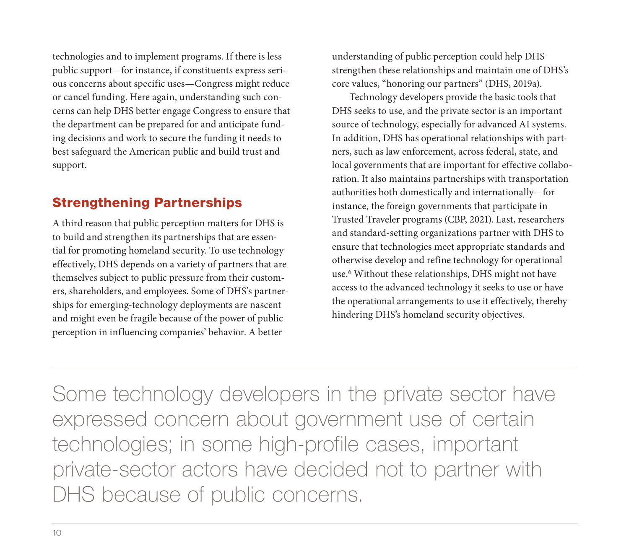technologies and to implement programs. If there is less public support—for instance, if constituents express serious concerns about specific uses—Congress might reduce or cancel funding. Here again, understanding such concerns can help DHS better engage Congress to ensure that the department can be prepared for and anticipate funding decisions and work to secure the funding it needs to best safeguard the American public and build trust and support.

# Strengthening Partnerships

A third reason that public perception matters for DHS is to build and strengthen its partnerships that are essential for promoting homeland security. To use technology effectively, DHS depends on a variety of partners that are themselves subject to public pressure from their customers, shareholders, and employees. Some of DHS's partnerships for emerging-technology deployments are nascent and might even be fragile because of the power of public perception in influencing companies' behavior. A better

understanding of public perception could help DHS strengthen these relationships and maintain one of DHS's core values, "honoring our partners" (DHS, 2019a).

Technology developers provide the basic tools that DHS seeks to use, and the private sector is an important source of technology, especially for advanced AI systems. In addition, DHS has operational relationships with partners, such as law enforcement, across federal, state, and local governments that are important for effective collaboration. It also maintains partnerships with transportation authorities both domestically and internationally—for instance, the foreign governments that participate in Trusted Traveler programs (CBP, 2021). Last, researchers and standard-setting organizations partner with DHS to ensure that technologies meet appropriate standards and otherwise develop and refine technology for operational use.6 Without these relationships, DHS might not have access to the advanced technology it seeks to use or have the operational arrangements to use it effectively, thereby hindering DHS's homeland security objectives.

Some technology developers in the private sector have expressed concern about government use of certain technologies; in some high-profile cases, important private-sector actors have decided not to partner with DHS because of public concerns.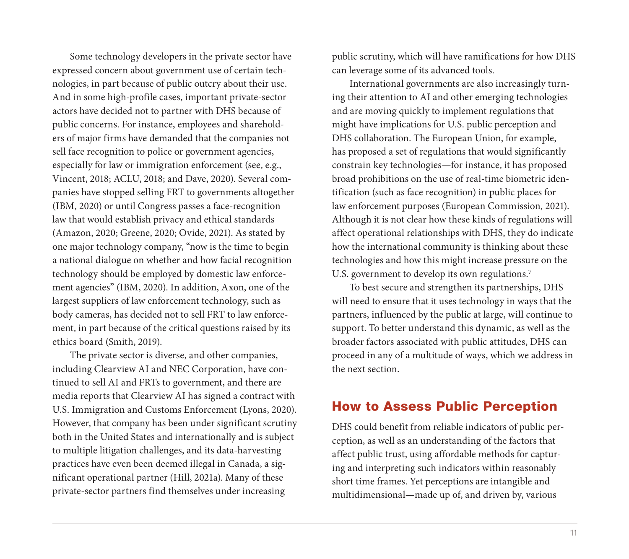Some technology developers in the private sector have expressed concern about government use of certain technologies, in part because of public outcry about their use. And in some high-profile cases, important private-sector actors have decided not to partner with DHS because of public concerns. For instance, employees and shareholders of major firms have demanded that the companies not sell face recognition to police or government agencies, especially for law or immigration enforcement (see, e.g., Vincent, 2018; ACLU, 2018; and Dave, 2020). Several companies have stopped selling FRT to governments altogether (IBM, 2020) or until Congress passes a face-recognition law that would establish privacy and ethical standards (Amazon, 2020; Greene, 2020; Ovide, 2021). As stated by one major technology company, "now is the time to begin a national dialogue on whether and how facial recognition technology should be employed by domestic law enforcement agencies" (IBM, 2020). In addition, Axon, one of the largest suppliers of law enforcement technology, such as body cameras, has decided not to sell FRT to law enforcement, in part because of the critical questions raised by its ethics board (Smith, 2019).

The private sector is diverse, and other companies, including Clearview AI and NEC Corporation, have continued to sell AI and FRTs to government, and there are media reports that Clearview AI has signed a contract with U.S. Immigration and Customs Enforcement (Lyons, 2020). However, that company has been under significant scrutiny both in the United States and internationally and is subject to multiple litigation challenges, and its data-harvesting practices have even been deemed illegal in Canada, a significant operational partner (Hill, 2021a). Many of these private-sector partners find themselves under increasing

public scrutiny, which will have ramifications for how DHS can leverage some of its advanced tools.

International governments are also increasingly turning their attention to AI and other emerging technologies and are moving quickly to implement regulations that might have implications for U.S. public perception and DHS collaboration. The European Union, for example, has proposed a set of regulations that would significantly constrain key technologies—for instance, it has proposed broad prohibitions on the use of real-time biometric identification (such as face recognition) in public places for law enforcement purposes (European Commission, 2021). Although it is not clear how these kinds of regulations will affect operational relationships with DHS, they do indicate how the international community is thinking about these technologies and how this might increase pressure on the U.S. government to develop its own regulations.<sup>7</sup>

To best secure and strengthen its partnerships, DHS will need to ensure that it uses technology in ways that the partners, influenced by the public at large, will continue to support. To better understand this dynamic, as well as the broader factors associated with public attitudes, DHS can proceed in any of a multitude of ways, which we address in the next section.

#### How to Assess Public Perception

DHS could benefit from reliable indicators of public perception, as well as an understanding of the factors that affect public trust, using affordable methods for capturing and interpreting such indicators within reasonably short time frames. Yet perceptions are intangible and multidimensional—made up of, and driven by, various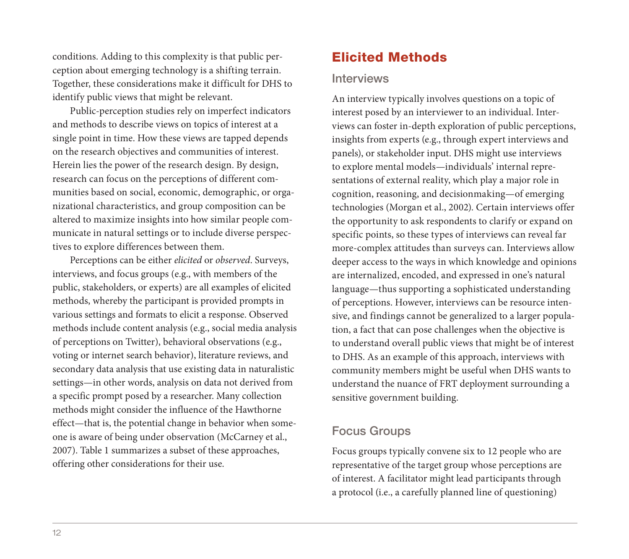conditions. Adding to this complexity is that public perception about emerging technology is a shifting terrain. Together, these considerations make it difficult for DHS to identify public views that might be relevant.

Public-perception studies rely on imperfect indicators and methods to describe views on topics of interest at a single point in time. How these views are tapped depends on the research objectives and communities of interest. Herein lies the power of the research design. By design, research can focus on the perceptions of different communities based on social, economic, demographic, or organizational characteristics, and group composition can be altered to maximize insights into how similar people communicate in natural settings or to include diverse perspectives to explore differences between them.

Perceptions can be either *elicited* or *observed*. Surveys, interviews, and focus groups (e.g., with members of the public, stakeholders, or experts) are all examples of elicited methods, whereby the participant is provided prompts in various settings and formats to elicit a response. Observed methods include content analysis (e.g., social media analysis of perceptions on Twitter), behavioral observations (e.g., voting or internet search behavior), literature reviews, and secondary data analysis that use existing data in naturalistic settings—in other words, analysis on data not derived from a specific prompt posed by a researcher. Many collection methods might consider the influence of the Hawthorne effect—that is, the potential change in behavior when someone is aware of being under observation (McCarney et al., 2007). Table 1 summarizes a subset of these approaches, offering other considerations for their use.

# Elicited Methods

#### **Interviews**

An interview typically involves questions on a topic of interest posed by an interviewer to an individual. Interviews can foster in-depth exploration of public perceptions, insights from experts (e.g., through expert interviews and panels), or stakeholder input. DHS might use interviews to explore mental models—individuals' internal representations of external reality, which play a major role in cognition, reasoning, and decisionmaking—of emerging technologies (Morgan et al., 2002). Certain interviews offer the opportunity to ask respondents to clarify or expand on specific points, so these types of interviews can reveal far more-complex attitudes than surveys can. Interviews allow deeper access to the ways in which knowledge and opinions are internalized, encoded, and expressed in one's natural language—thus supporting a sophisticated understanding of perceptions. However, interviews can be resource intensive, and findings cannot be generalized to a larger population, a fact that can pose challenges when the objective is to understand overall public views that might be of interest to DHS. As an example of this approach, interviews with community members might be useful when DHS wants to understand the nuance of FRT deployment surrounding a sensitive government building.

# Focus Groups

Focus groups typically convene six to 12 people who are representative of the target group whose perceptions are of interest. A facilitator might lead participants through a protocol (i.e., a carefully planned line of questioning)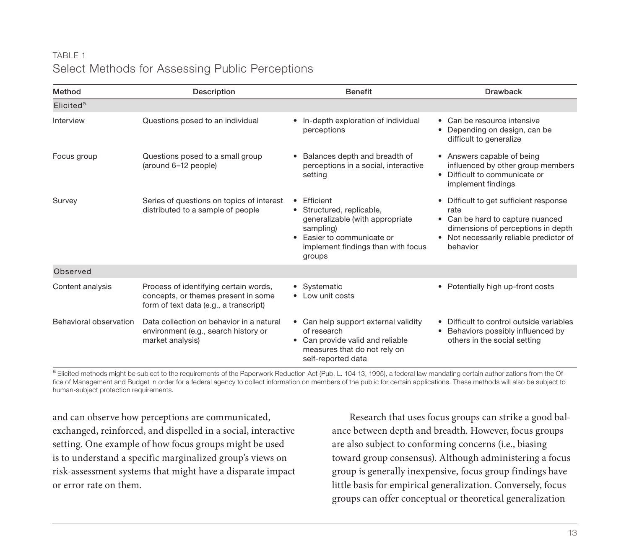## TABLE 1 Select Methods for Assessing Public Perceptions

| Method                 | Description                                                                                                            | <b>Benefit</b>                                                                                                                                                                  | <b>Drawback</b>                                                                                                                                                                 |
|------------------------|------------------------------------------------------------------------------------------------------------------------|---------------------------------------------------------------------------------------------------------------------------------------------------------------------------------|---------------------------------------------------------------------------------------------------------------------------------------------------------------------------------|
| Elicited <sup>a</sup>  |                                                                                                                        |                                                                                                                                                                                 |                                                                                                                                                                                 |
| Interview              | Questions posed to an individual                                                                                       | In-depth exploration of individual<br>perceptions                                                                                                                               | • Can be resource intensive<br>Depending on design, can be<br>difficult to generalize                                                                                           |
| Focus group            | Questions posed to a small group<br>(around 6-12 people)                                                               | Balances depth and breadth of<br>٠<br>perceptions in a social, interactive<br>setting                                                                                           | • Answers capable of being<br>influenced by other group members<br>• Difficult to communicate or<br>implement findings                                                          |
| Survey                 | Series of questions on topics of interest<br>distributed to a sample of people                                         | Efficient<br>• Structured, replicable,<br>generalizable (with appropriate<br>sampling)<br>Easier to communicate or<br>$\bullet$<br>implement findings than with focus<br>groups | • Difficult to get sufficient response<br>rate<br>• Can be hard to capture nuanced<br>dimensions of perceptions in depth<br>• Not necessarily reliable predictor of<br>behavior |
| Observed               |                                                                                                                        |                                                                                                                                                                                 |                                                                                                                                                                                 |
| Content analysis       | Process of identifying certain words,<br>concepts, or themes present in some<br>form of text data (e.g., a transcript) | • Systematic<br>• Low unit costs                                                                                                                                                | • Potentially high up-front costs                                                                                                                                               |
| Behavioral observation | Data collection on behavior in a natural<br>environment (e.g., search history or<br>market analysis)                   | • Can help support external validity<br>of research<br>• Can provide valid and reliable<br>measures that do not rely on<br>self-reported data                                   | Difficult to control outside variables<br>Behaviors possibly influenced by<br>others in the social setting                                                                      |

a Elicited methods might be subject to the requirements of the Paperwork Reduction Act (Pub. L. 104-13, 1995), a federal law mandating certain authorizations from the Office of Management and Budget in order for a federal agency to collect information on members of the public for certain applications. These methods will also be subject to human-subject protection requirements.

and can observe how perceptions are communicated, exchanged, reinforced, and dispelled in a social, interactive setting. One example of how focus groups might be used is to understand a specific marginalized group's views on risk-assessment systems that might have a disparate impact or error rate on them.

Research that uses focus groups can strike a good balance between depth and breadth. However, focus groups are also subject to conforming concerns (i.e., biasing toward group consensus). Although administering a focus group is generally inexpensive, focus group findings have little basis for empirical generalization. Conversely, focus groups can offer conceptual or theoretical generalization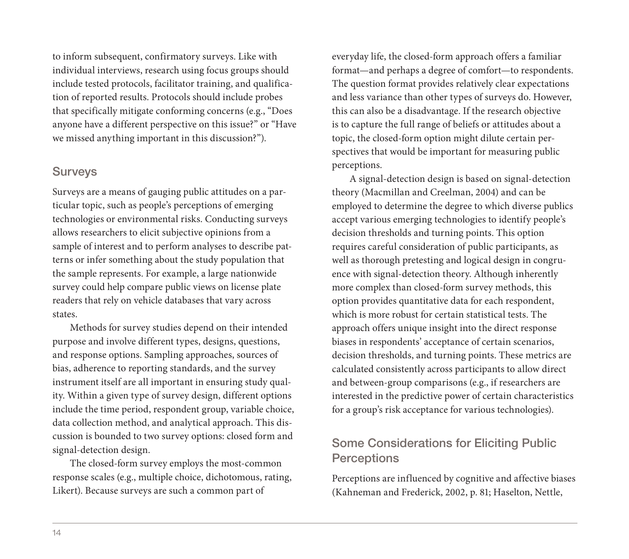to inform subsequent, confirmatory surveys. Like with individual interviews, research using focus groups should include tested protocols, facilitator training, and qualification of reported results. Protocols should include probes that specifically mitigate conforming concerns (e.g., "Does anyone have a different perspective on this issue?" or "Have we missed anything important in this discussion?").

#### Surveys

Surveys are a means of gauging public attitudes on a particular topic, such as people's perceptions of emerging technologies or environmental risks. Conducting surveys allows researchers to elicit subjective opinions from a sample of interest and to perform analyses to describe patterns or infer something about the study population that the sample represents. For example, a large nationwide survey could help compare public views on license plate readers that rely on vehicle databases that vary across states.

Methods for survey studies depend on their intended purpose and involve different types, designs, questions, and response options. Sampling approaches, sources of bias, adherence to reporting standards, and the survey instrument itself are all important in ensuring study quality. Within a given type of survey design, different options include the time period, respondent group, variable choice, data collection method, and analytical approach. This discussion is bounded to two survey options: closed form and signal-detection design.

The closed-form survey employs the most-common response scales (e.g., multiple choice, dichotomous, rating, Likert). Because surveys are such a common part of

everyday life, the closed-form approach offers a familiar format—and perhaps a degree of comfort—to respondents. The question format provides relatively clear expectations and less variance than other types of surveys do. However, this can also be a disadvantage. If the research objective is to capture the full range of beliefs or attitudes about a topic, the closed-form option might dilute certain perspectives that would be important for measuring public perceptions.

A signal-detection design is based on signal-detection theory (Macmillan and Creelman, 2004) and can be employed to determine the degree to which diverse publics accept various emerging technologies to identify people's decision thresholds and turning points. This option requires careful consideration of public participants, as well as thorough pretesting and logical design in congruence with signal-detection theory. Although inherently more complex than closed-form survey methods, this option provides quantitative data for each respondent, which is more robust for certain statistical tests. The approach offers unique insight into the direct response biases in respondents' acceptance of certain scenarios, decision thresholds, and turning points. These metrics are calculated consistently across participants to allow direct and between-group comparisons (e.g., if researchers are interested in the predictive power of certain characteristics for a group's risk acceptance for various technologies).

# Some Considerations for Eliciting Public **Perceptions**

Perceptions are influenced by cognitive and affective biases (Kahneman and Frederick, 2002, p. 81; Haselton, Nettle,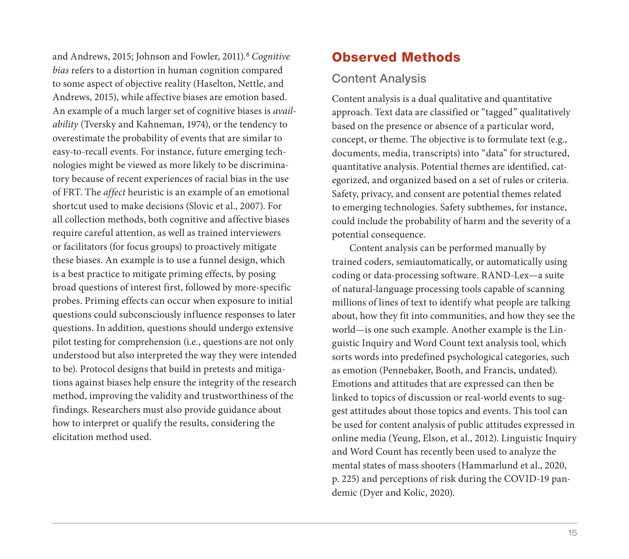and Andrews, 2015; Johnson and Fowler, 2011).8 *Cognitive bias* refers to a distortion in human cognition compared to some aspect of objective reality (Haselton, Nettle, and Andrews, 2015), while affective biases are emotion based. An example of a much larger set of cognitive biases is *availability* (Tversky and Kahneman, 1974), or the tendency to overestimate the probability of events that are similar to easy-to-recall events. For instance, future emerging technologies might be viewed as more likely to be discriminatory because of recent experiences of racial bias in the use of FRT. The *affect* heuristic is an example of an emotional shortcut used to make decisions (Slovic et al., 2007). For all collection methods, both cognitive and affective biases require careful attention, as well as trained interviewers or facilitators (for focus groups) to proactively mitigate these biases. An example is to use a funnel design, which is a best practice to mitigate priming effects, by posing broad questions of interest first, followed by more-specific probes. Priming effects can occur when exposure to initial questions could subconsciously influence responses to later questions. In addition, questions should undergo extensive pilot testing for comprehension (i.e., questions are not only understood but also interpreted the way they were intended to be). Protocol designs that build in pretests and mitigations against biases help ensure the integrity of the research method, improving the validity and trustworthiness of the findings. Researchers must also provide guidance about how to interpret or qualify the results, considering the elicitation method used.

# Observed Methods

## Content Analysis

Content analysis is a dual qualitative and quantitative approach. Text data are classified or "tagged" qualitatively based on the presence or absence of a particular word, concept, or theme. The objective is to formulate text (e.g., documents, media, transcripts) into "data" for structured, quantitative analysis. Potential themes are identified, categorized, and organized based on a set of rules or criteria. Safety, privacy, and consent are potential themes related to emerging technologies. Safety subthemes, for instance, could include the probability of harm and the severity of a potential consequence.

Content analysis can be performed manually by trained coders, semiautomatically, or automatically using coding or data-processing software. RAND-Lex—a suite of natural-language processing tools capable of scanning millions of lines of text to identify what people are talking about, how they fit into communities, and how they see the world—is one such example. Another example is the Linguistic Inquiry and Word Count text analysis tool, which sorts words into predefined psychological categories, such as emotion (Pennebaker, Booth, and Francis, undated). Emotions and attitudes that are expressed can then be linked to topics of discussion or real-world events to suggest attitudes about those topics and events. This tool can be used for content analysis of public attitudes expressed in online media (Yeung, Elson, et al., 2012). Linguistic Inquiry and Word Count has recently been used to analyze the mental states of mass shooters (Hammarlund et al., 2020, p. 225) and perceptions of risk during the COVID-19 pandemic (Dyer and Kolic, 2020).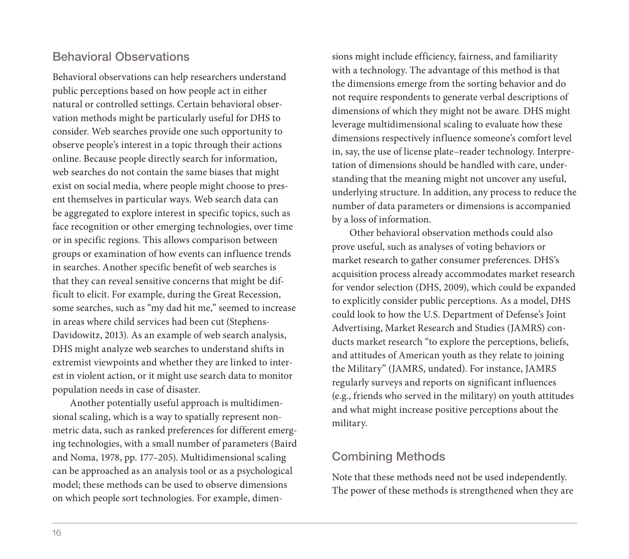#### Behavioral Observations

Behavioral observations can help researchers understand public perceptions based on how people act in either natural or controlled settings. Certain behavioral observation methods might be particularly useful for DHS to consider. Web searches provide one such opportunity to observe people's interest in a topic through their actions online. Because people directly search for information, web searches do not contain the same biases that might exist on social media, where people might choose to present themselves in particular ways. Web search data can be aggregated to explore interest in specific topics, such as face recognition or other emerging technologies, over time or in specific regions. This allows comparison between groups or examination of how events can influence trends in searches. Another specific benefit of web searches is that they can reveal sensitive concerns that might be difficult to elicit. For example, during the Great Recession, some searches, such as "my dad hit me," seemed to increase in areas where child services had been cut (Stephens-Davidowitz, 2013). As an example of web search analysis, DHS might analyze web searches to understand shifts in extremist viewpoints and whether they are linked to interest in violent action, or it might use search data to monitor population needs in case of disaster.

Another potentially useful approach is multidimensional scaling, which is a way to spatially represent nonmetric data, such as ranked preferences for different emerging technologies, with a small number of parameters (Baird and Noma, 1978, pp. 177–205). Multidimensional scaling can be approached as an analysis tool or as a psychological model; these methods can be used to observe dimensions on which people sort technologies. For example, dimen-

sions might include efficiency, fairness, and familiarity with a technology. The advantage of this method is that the dimensions emerge from the sorting behavior and do not require respondents to generate verbal descriptions of dimensions of which they might not be aware. DHS might leverage multidimensional scaling to evaluate how these dimensions respectively influence someone's comfort level in, say, the use of license plate–reader technology. Interpretation of dimensions should be handled with care, understanding that the meaning might not uncover any useful, underlying structure. In addition, any process to reduce the number of data parameters or dimensions is accompanied by a loss of information.

Other behavioral observation methods could also prove useful, such as analyses of voting behaviors or market research to gather consumer preferences. DHS's acquisition process already accommodates market research for vendor selection (DHS, 2009), which could be expanded to explicitly consider public perceptions. As a model, DHS could look to how the U.S. Department of Defense's Joint Advertising, Market Research and Studies (JAMRS) conducts market research "to explore the perceptions, beliefs, and attitudes of American youth as they relate to joining the Military" (JAMRS, undated). For instance, JAMRS regularly surveys and reports on significant influences (e.g., friends who served in the military) on youth attitudes and what might increase positive perceptions about the military.

#### Combining Methods

Note that these methods need not be used independently. The power of these methods is strengthened when they are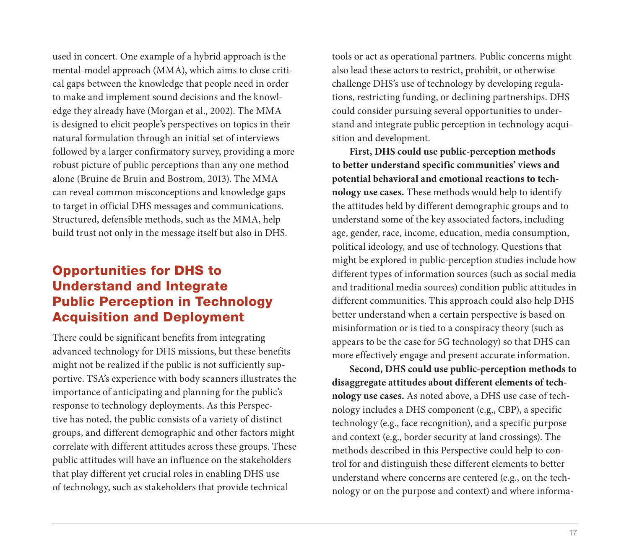used in concert. One example of a hybrid approach is the mental-model approach (MMA), which aims to close critical gaps between the knowledge that people need in order to make and implement sound decisions and the knowledge they already have (Morgan et al., 2002). The MMA is designed to elicit people's perspectives on topics in their natural formulation through an initial set of interviews followed by a larger confirmatory survey, providing a more robust picture of public perceptions than any one method alone (Bruine de Bruin and Bostrom, 2013). The MMA can reveal common misconceptions and knowledge gaps to target in official DHS messages and communications. Structured, defensible methods, such as the MMA, help build trust not only in the message itself but also in DHS.

# Opportunities for DHS to Understand and Integrate Public Perception in Technology Acquisition and Deployment

There could be significant benefits from integrating advanced technology for DHS missions, but these benefits might not be realized if the public is not sufficiently supportive. TSA's experience with body scanners illustrates the importance of anticipating and planning for the public's response to technology deployments. As this Perspective has noted, the public consists of a variety of distinct groups, and different demographic and other factors might correlate with different attitudes across these groups. These public attitudes will have an influence on the stakeholders that play different yet crucial roles in enabling DHS use of technology, such as stakeholders that provide technical

tools or act as operational partners. Public concerns might also lead these actors to restrict, prohibit, or otherwise challenge DHS's use of technology by developing regulations, restricting funding, or declining partnerships. DHS could consider pursuing several opportunities to understand and integrate public perception in technology acquisition and development.

**First, DHS could use public-perception methods to better understand specific communities' views and potential behavioral and emotional reactions to technology use cases.** These methods would help to identify the attitudes held by different demographic groups and to understand some of the key associated factors, including age, gender, race, income, education, media consumption, political ideology, and use of technology. Questions that might be explored in public-perception studies include how different types of information sources (such as social media and traditional media sources) condition public attitudes in different communities. This approach could also help DHS better understand when a certain perspective is based on misinformation or is tied to a conspiracy theory (such as appears to be the case for 5G technology) so that DHS can more effectively engage and present accurate information.

**Second, DHS could use public-perception methods to disaggregate attitudes about different elements of technology use cases.** As noted above, a DHS use case of technology includes a DHS component (e.g., CBP), a specific technology (e.g., face recognition), and a specific purpose and context (e.g., border security at land crossings). The methods described in this Perspective could help to control for and distinguish these different elements to better understand where concerns are centered (e.g., on the technology or on the purpose and context) and where informa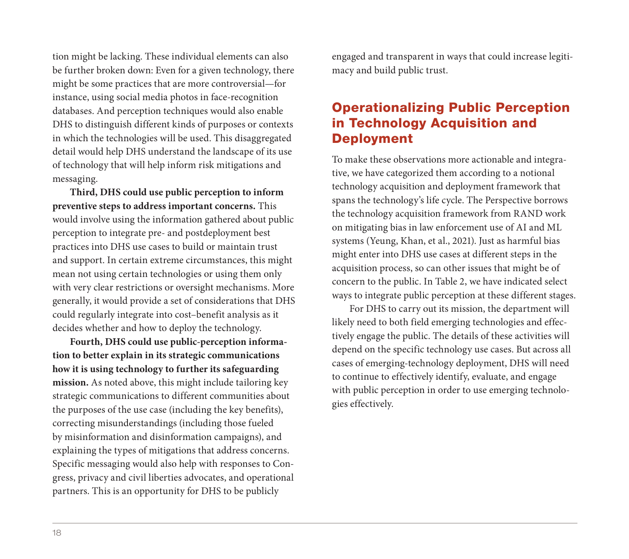tion might be lacking. These individual elements can also be further broken down: Even for a given technology, there might be some practices that are more controversial—for instance, using social media photos in face-recognition databases. And perception techniques would also enable DHS to distinguish different kinds of purposes or contexts in which the technologies will be used. This disaggregated detail would help DHS understand the landscape of its use of technology that will help inform risk mitigations and messaging.

**Third, DHS could use public perception to inform preventive steps to address important concerns.** This would involve using the information gathered about public perception to integrate pre- and postdeployment best practices into DHS use cases to build or maintain trust and support. In certain extreme circumstances, this might mean not using certain technologies or using them only with very clear restrictions or oversight mechanisms. More generally, it would provide a set of considerations that DHS could regularly integrate into cost–benefit analysis as it decides whether and how to deploy the technology.

**Fourth, DHS could use public-perception information to better explain in its strategic communications how it is using technology to further its safeguarding mission.** As noted above, this might include tailoring key strategic communications to different communities about the purposes of the use case (including the key benefits), correcting misunderstandings (including those fueled by misinformation and disinformation campaigns), and explaining the types of mitigations that address concerns. Specific messaging would also help with responses to Congress, privacy and civil liberties advocates, and operational partners. This is an opportunity for DHS to be publicly

engaged and transparent in ways that could increase legitimacy and build public trust.

# Operationalizing Public Perception in Technology Acquisition and Deployment

To make these observations more actionable and integrative, we have categorized them according to a notional technology acquisition and deployment framework that spans the technology's life cycle. The Perspective borrows the technology acquisition framework from RAND work on mitigating bias in law enforcement use of AI and ML systems (Yeung, Khan, et al., 2021). Just as harmful bias might enter into DHS use cases at different steps in the acquisition process, so can other issues that might be of concern to the public. In Table 2, we have indicated select ways to integrate public perception at these different stages.

For DHS to carry out its mission, the department will likely need to both field emerging technologies and effectively engage the public. The details of these activities will depend on the specific technology use cases. But across all cases of emerging-technology deployment, DHS will need to continue to effectively identify, evaluate, and engage with public perception in order to use emerging technologies effectively.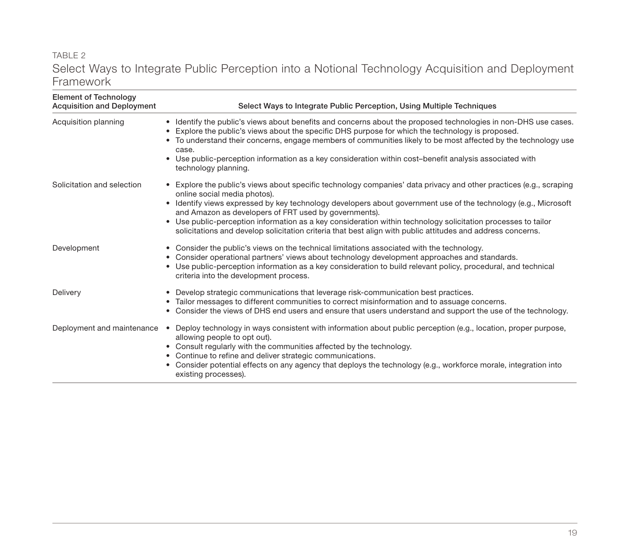#### TABLE 2 Select Ways to Integrate Public Perception into a Notional Technology Acquisition and Deployment Framework

| <b>Element of Technology</b><br><b>Acquisition and Deployment</b> | Select Ways to Integrate Public Perception, Using Multiple Techniques                                                                                                                                                                                                                                                                                                                                                                                                                                                                                          |  |
|-------------------------------------------------------------------|----------------------------------------------------------------------------------------------------------------------------------------------------------------------------------------------------------------------------------------------------------------------------------------------------------------------------------------------------------------------------------------------------------------------------------------------------------------------------------------------------------------------------------------------------------------|--|
| Acquisition planning                                              | • Identify the public's views about benefits and concerns about the proposed technologies in non-DHS use cases.<br>Explore the public's views about the specific DHS purpose for which the technology is proposed.<br>$\bullet$<br>• To understand their concerns, engage members of communities likely to be most affected by the technology use<br>case.<br>Use public-perception information as a key consideration within cost-benefit analysis associated with<br>٠<br>technology planning.                                                               |  |
| Solicitation and selection                                        | • Explore the public's views about specific technology companies' data privacy and other practices (e.g., scraping<br>online social media photos).<br>• Identify views expressed by key technology developers about government use of the technology (e.g., Microsoft<br>and Amazon as developers of FRT used by governments).<br>• Use public-perception information as a key consideration within technology solicitation processes to tailor<br>solicitations and develop solicitation criteria that best align with public attitudes and address concerns. |  |
| Development                                                       | • Consider the public's views on the technical limitations associated with the technology.<br>Consider operational partners' views about technology development approaches and standards.<br>٠<br>Use public-perception information as a key consideration to build relevant policy, procedural, and technical<br>٠<br>criteria into the development process.                                                                                                                                                                                                  |  |
| Delivery                                                          | Develop strategic communications that leverage risk-communication best practices.<br>$\bullet$<br>Tailor messages to different communities to correct misinformation and to assuage concerns.<br>٠<br>Consider the views of DHS end users and ensure that users understand and support the use of the technology.<br>٠                                                                                                                                                                                                                                         |  |
| Deployment and maintenance                                        | Deploy technology in ways consistent with information about public perception (e.g., location, proper purpose,<br>$\bullet$<br>allowing people to opt out).<br>• Consult regularly with the communities affected by the technology.<br>Continue to refine and deliver strategic communications.<br>٠<br>• Consider potential effects on any agency that deploys the technology (e.g., workforce morale, integration into<br>existing processes).                                                                                                               |  |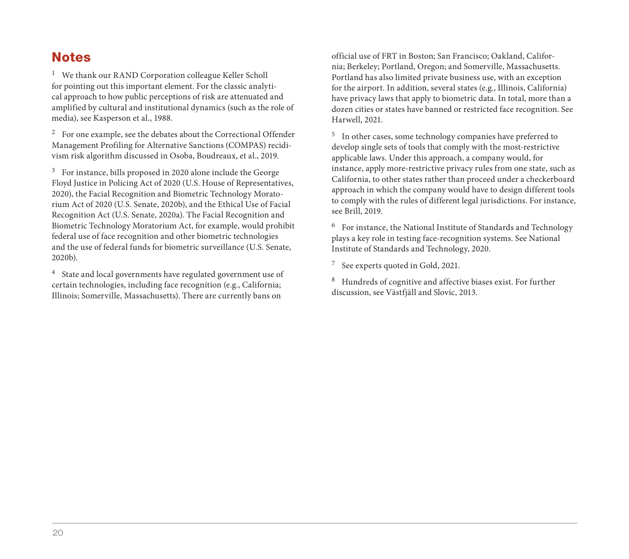# **Notes**

<sup>1</sup> We thank our RAND Corporation colleague Keller Scholl for pointing out this important element. For the classic analytical approach to how public perceptions of risk are attenuated and amplified by cultural and institutional dynamics (such as the role of media), see Kasperson et al., 1988.

2 For one example, see the debates about the Correctional Offender Management Profiling for Alternative Sanctions (COMPAS) recidivism risk algorithm discussed in Osoba, Boudreaux, et al., 2019.

3 For instance, bills proposed in 2020 alone include the George Floyd Justice in Policing Act of 2020 (U.S. House of Representatives, 2020), the Facial Recognition and Biometric Technology Moratorium Act of 2020 (U.S. Senate, 2020b), and the Ethical Use of Facial Recognition Act (U.S. Senate, 2020a). The Facial Recognition and Biometric Technology Moratorium Act, for example, would prohibit federal use of face recognition and other biometric technologies and the use of federal funds for biometric surveillance (U.S. Senate, 2020b).

4 State and local governments have regulated government use of certain technologies, including face recognition (e.g., California; Illinois; Somerville, Massachusetts). There are currently bans on

official use of FRT in Boston; San Francisco; Oakland, California; Berkeley; Portland, Oregon; and Somerville, Massachusetts. Portland has also limited private business use, with an exception for the airport. In addition, several states (e.g., Illinois, California) have privacy laws that apply to biometric data. In total, more than a dozen cities or states have banned or restricted face recognition. See Harwell, 2021.

5 In other cases, some technology companies have preferred to develop single sets of tools that comply with the most-restrictive applicable laws. Under this approach, a company would, for instance, apply more-restrictive privacy rules from one state, such as California, to other states rather than proceed under a checkerboard approach in which the company would have to design different tools to comply with the rules of different legal jurisdictions. For instance, see Brill, 2019.

6 For instance, the National Institute of Standards and Technology plays a key role in testing face-recognition systems. See National Institute of Standards and Technology, 2020.

7 See experts quoted in Gold, 2021.

8 Hundreds of cognitive and affective biases exist. For further discussion, see Västfjäll and Slovic, 2013.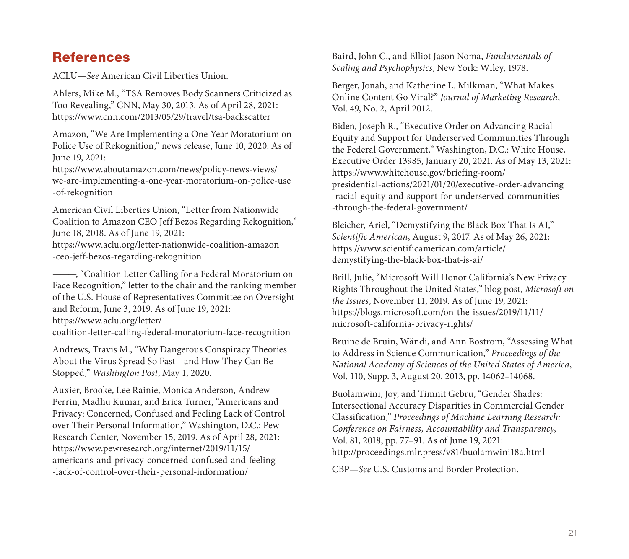# [References](https://www.aclu.org/letter-nationwide-coalition-amazon-ceo-jeff-bezos-regarding-rekognition)

ACLU—*See* American Civil Liberties Union.

Ahlers, Mike M., "TSA Removes Body Scanners Criticized as Too Revealing," CNN, May 30, 2013. As of April 28, 2021: [https://www.cnn.com/2013/05/29/travel/tsa-backscatter](https://www.aclu.org/letter/coalition-letter-calling-federal-moratorium-face-recognition)

Amazon, "We Are Implementing a One-Year Moratorium on Police Use of Rekognition," news release, June 10, 2020. As of June 19, 2021:

https://www.aboutamazon.com/news/policy-news-views/ we-are-implementing-a-one-year-moratorium-on-police-use -of-rekognition

American Civil Liberties Union, "Letter from Nationwide Coalition to Amazon CEO Jeff Bezos Regarding Rekognition," June 18, 2018. As of June 19, 2021:

[https://www.aclu.org/letter-nationwide-coalition-amazon](https://www.pewresearch.org/internet/2019/11/15/americans-and-privacy-concerned-confused-and-feeling-lack-of-control-over-their-personal-information/) -ceo-jeff-bezos-regarding-rekognition

———, "Coalition Letter Calling for a Federal Moratorium on Face Recognition," letter to the chair and the ranking member of the U.S. House of Representatives Committee on Oversight and Reform, June 3, 2019. As of June 19, 2021: https://www.aclu.org/letter/

coalition-letter-calling-federal-moratorium-face-recognition

Andrews, Travis M., "Why Dangerous Conspiracy Theories About the Virus Spread So Fast—and How They Can Be Stopped," *Washington Post*, May 1, 2020.

Auxier, Brooke, Lee Rainie, Monica Anderson, Andrew Perrin, Madhu Kumar, and Erica Turner, "Americans and Privacy: Concerned, Confused and Feeling Lack of Control over Their Personal Information," Washington, D.C.: Pew Research Center, November 15, 2019. As of April 28, 2021: https://www.pewresearch.org/internet/2019/11/15/ americans-and-privacy-concerned-confused-and-feeling -lack-of-control-over-their-personal-information/

[Baird, John C., and Elliot Jason Noma,](https://www.scientificamerican.com/article/demystifying-the-black-box-that-is-ai/) *Fundamentals of Scaling and Psychophysics*, New York: Wiley, 1978.

Berger, Jonah, and Katherine L. Milkman, "What Makes Online Content Go Viral?" *Journal of Marketing Research*, [Vol. 49, No. 2, April 2012.](https://blogs.microsoft.com/on-the-issues/2019/11/11/microsoft-california-privacy-rights/)

Biden, Joseph R., "Executive Order on Advancing Racial Equity and Support for Underserved Communities Through the Federal Government," Washington, D.C.: White House, Executive Order 13985, January 20, 2021. As of May 13, 2021: https://www.whitehouse.gov/briefing-room/ presidential-actions/2021/01/20/executive-order-advancing -racial-equity-and-support-for-underserved-communities -through-the-federal-government/

Bleicher, Ariel, "Demystifying the Black Box That Is AI," *Scientific American*[, August 9, 2017. As of May 26, 2021](http://proceedings.mlr.press/v81/buolamwini18a.html): https://www.scientificamerican.com/article/ demystifying-the-black-box-that-is-ai/

Brill, Julie, "Microsoft Will Honor California's New Privacy Rights Throughout the United States," blog post, *Microsoft on the Issues*, November 11, 2019. As of June 19, 2021: https://blogs.microsoft.com/on-the-issues/2019/11/11/ microsoft-california-privacy-rights/

Bruine de Bruin, Wändi, and Ann Bostrom, "Assessing What to Address in Science Communication," *Proceedings of the National Academy of Sciences of the United States of America*, Vol. 110, Supp. 3, August 20, 2013, pp. 14062–14068.

Buolamwini, Joy, and Timnit Gebru, "Gender Shades: Intersectional Accuracy Disparities in Commercial Gender Classification," *Proceedings of Machine Learning Research: Conference on Fairness, Accountability and Transparency*, Vol. 81, 2018, pp. 77–91. As of June 19, 2021: http://proceedings.mlr.press/v81/buolamwini18a.html

CBP—*See* U.S. Customs and Border Protection.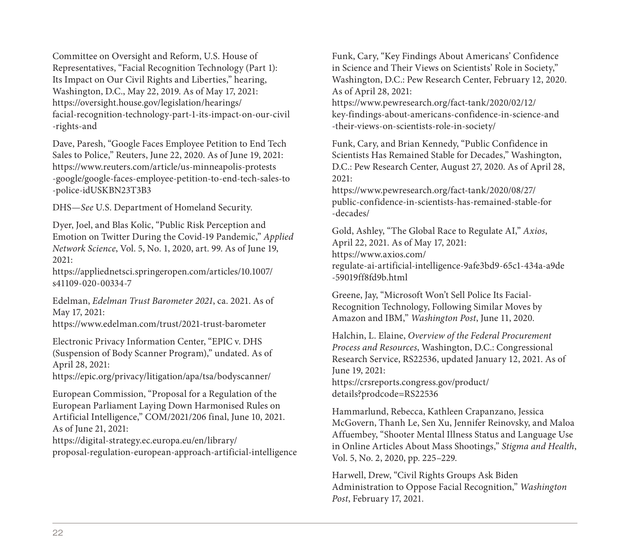Committee on Oversight and Reform, U.S. House of [Representatives, "Facial Recognition Technology \(Part 1\)](https://appliednetsci.springeropen.com/articles/10.1007/s41109-020-00334-7): Its Impact on Our Civil Rights and Liberties," hearing, Washington, D.C., May 22, 2019. As of May 17, 2021: https://oversight.house.gov/legislation/hearings/ [facial-recognition-technology-part-1-its-impact-on-our](https://www.edelman.com/trust/2021-trust-barometer)-civil -rights-and

Dave, Paresh, "Google Faces Employee Petition to End Tech Sales to Police," Reuters, June 22, 2020. As of June 19, 2021: [https://www.reuters.com/article/us-minneapolis-protest](https://epic.org/privacy/litigation/apa/tsa/bodyscanner/)s -google/google-faces-employee-petition-to-end-tech-sales-to -police-idUSKBN23T3B3

DHS—*See* U.S. Department of Homeland Security.

Dyer, Joel, and Blas Kolic, "Public Risk Perception and [Emotion on Twitter During the Covid-19 Pandemic,"](https://digital-strategy.ec.europa.eu/en/library/proposal-regulation-european-approach-artificial-intelligence) *Applied Network Science*, Vol. 5, No. 1, 2020, art. 99. As of June 19, 2021:

https://appliednetsci.springeropen.com/articles/10.1007/ s41109-020-00334-7

Edelman, *Edelman Trust Barometer 2021*, ca. 2021. As of May 17, 2021:

https://www.edelman.com/trust/2021-trust-barometer

Electronic Privacy Information Center, "EPIC v. DHS (Suspension of Body Scanner Program)," undated. As of April 28, 2021:

https://epic.org/privacy/litigation/apa/tsa/bodyscanner/

European Commission, "Proposal for a Regulation of the European Parliament Laying Down Harmonised Rules on Artificial Intelligence," COM/2021/206 final, June 10, 2021. As of June 21, 2021:

https://digital-strategy.ec.europa.eu/en/library/ proposal-regulation-european-approach-artificial-intelligence [Funk, Cary, "Key Findings About Americans' Confidence](https://www.axios.com/regulate-ai-artificial-intelligence-9afe3bd9-65c1-434a-a9de-59019ff8fd9b.html)  in Science and Their Views on Scientists' Role in Society," Washington, D.C.: Pew Research Center, February 12, 2020. As of April 28, 2021:

https://www.pewresearch.org/fact-tank/2020/02/12/ key-findings-about-americans-confidence-in-science-and -their-views-on-scientists-role-in-society/

Funk, Cary, and Brian Kennedy, "Public Confidence in Scientists Has Remained Stable for Decades," Washington, [D.C.: Pew Research Center, August 27, 20](https://crsreports.congress.gov/product/details?prodcode=RS22536)20. As of April 28, 2021:

https://www.pewresearch.org/fact-tank/2020/08/27/ public-confidence-in-scientists-has-remained-stable-for -decades/

Gold, Ashley, "The Global Race to Regulate AI," *Axios*, April 22, 2021. As of May 17, 2021: https://www.axios.com/ regulate-ai-artificial-intelligence-9afe3bd9-65c1-434a-a9de -59019ff8fd9b.html

Greene, Jay, "Microsoft Won't Sell Police Its Facial-Recognition Technology, Following Similar Moves by Amazon and IBM," *Washington Post*, June 11, 2020.

Halchin, L. Elaine, *Overview of the Federal Procurement Process and Resources*, Washington, D.C.: Congressional Research Service, RS22536, updated January 12, 2021. As of June 19, 2021:

https://crsreports.congress.gov/product/ details?prodcode=RS22536

Hammarlund, Rebecca, Kathleen Crapanzano, Jessica McGovern, Thanh Le, Sen Xu, Jennifer Reinovsky, and Maloa Affuembey, "Shooter Mental Illness Status and Language Use in Online Articles About Mass Shootings," *Stigma and Health*, Vol. 5, No. 2, 2020, pp. 225–229.

Harwell, Drew, "Civil Rights Groups Ask Biden Administration to Oppose Facial Recognition," *Washington Post*, February 17, 2021.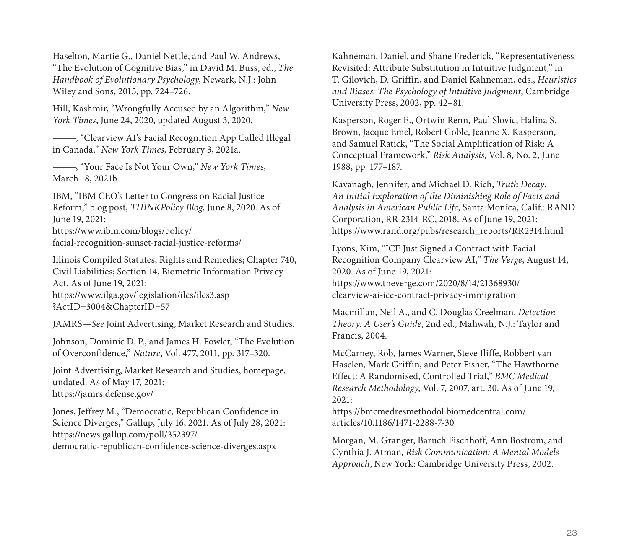Haselton, Martie G., Daniel Nettle, and Paul W. Andrews, "The Evolution of Cognitive Bias," in David M. Buss, ed., *The Handbook of Evolutionary Psychology*, Newark, N.J.: John [Wiley and Sons, 2015, pp. 724–726.](https://www.ilga.gov/legislation/ilcs/ilcs3.asp?ActID=3004&ChapterID=57)

Hill, Kashmir, "Wrongfully Accused by an Algorithm," *New York Times*, June 24, 2020, updated August 3, 2020.

———, "Clearview AI's Facial Recognition App Called Illegal in Canada," *New York Times*, February 3, 2021a.

———, "Your Face Is Not Your Own," *New York Times*, [March 18, 2021b.](https://jamrs.defense.gov/)

IBM, "IBM CEO's Letter to Congress on Racial Justice Reform," blog post, *THINKPolicy Blog*, June 8, 2020. As of June 19, 2021: [https://www.ibm.com/blogs/policy/](https://news.gallup.com/poll/352397/democratic-republican-confidence-science-diverges.aspx)  facial-recognition-sunset-racial-justice-reforms/

Illinois Compiled Statutes, Rights and Remedies; Chapter 740, Civil Liabilities; Section 14, Biometric Information Privacy Act. As of June 19, 2021: https://www.ilga.gov/legislation/ilcs/ilcs3.asp

?ActID=3004&ChapterID=57

JAMRS—*See* Joint Advertising, Market Research and Studies.

Johnson, Dominic D. P., and James H. Fowler, "The Evolution of Overconfidence," *Nature*, Vol. 477, 2011, pp. 317–320.

Joint Advertising, Market Research and Studies, homepage, undated. As of May 17, 2021: https://jamrs.defense.gov/

Jones, Jeffrey M., "Democratic, Republican Confidence in Science Diverges," Gallup, July 16, 2021. As of July 28, 2021: https://news.gallup.com/poll/352397/

democratic-republican-confidence-science-diverges.aspx

Kahneman, Daniel, and Shane Frederick, "Representativeness Revisited: Attribute Substitution in Intuitive Judgment," in [T. Gilovich, D. Griffin, and Daniel Kahneman, e](https://www.theverge.com/2020/8/14/21368930/clearview-ai-ice-contract-privacy-immigration)ds., *Heuristics and Biases: The Psychology of Intuitive Judgment*, Cambridge University Press, 2002, pp. 42–81.

Kasperson, Roger E., Ortwin Renn, Paul Slovic, Halina S. Brown, Jacque Emel, Robert Goble, Jeanne X. Kasperson, and Samuel Ratick, "The Social Amplification of Risk: A Conceptual Framework," *Risk Analysis*, Vol. 8, No. 2, June 1988, pp. 177–187.

Kavanagh, Jennifer, and Michael D. Rich, *Truth Decay: [An Initial Exploration of the Diminishing Role of F](https://bmcmedresmethodol.biomedcentral.com/articles/10.1186/1471-2288-7-30)acts and Analysis in American Public Life*, Santa Monica, Calif.: RAND Corporation, RR-2314-RC, 2018. As of June 19, 2021: https://www.rand.org/pubs/research\_reports/RR2314.html

Lyons, Kim, "ICE Just Signed a Contract with Facial Recognition Company Clearview AI," *The Verge*, August 14, 2020. As of June 19, 2021: https://www.theverge.com/2020/8/14/21368930/ clearview-ai-ice-contract-privacy-immigration

Macmillan, Neil A., and C. Douglas Creelman, *Detection Theory: A User's Guide*, 2nd ed., Mahwah, N.J.: Taylor and Francis, 2004.

McCarney, Rob, James Warner, Steve Iliffe, Robbert van Haselen, Mark Griffin, and Peter Fisher, "The Hawthorne Effect: A Randomised, Controlled Trial," *BMC Medical Research Methodology*, Vol. 7, 2007, art. 30. As of June 19, 2021:

https://bmcmedresmethodol.biomedcentral.com/ articles/10.1186/1471-2288-7-30

Morgan, M. Granger, Baruch Fischhoff, Ann Bostrom, and Cynthia J. Atman, *Risk Communication: A Mental Models Approach*, New York: Cambridge University Press, 2002.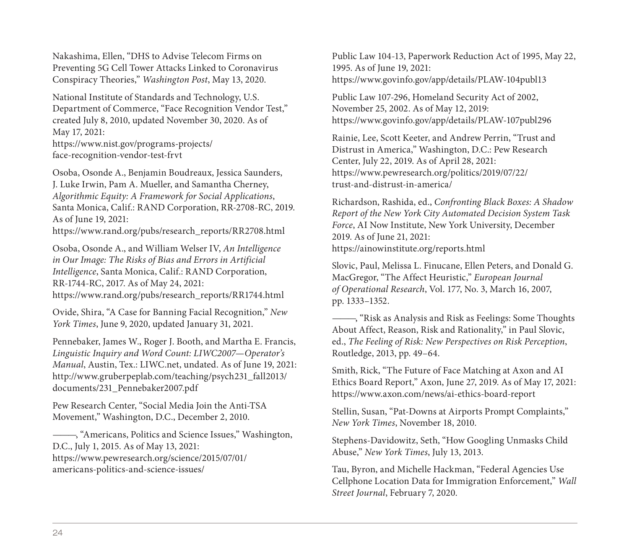Nakashima, Ellen, "DHS to Advise Telecom Firms on Preventing 5G Cell Tower Attacks Linked to Coronavirus [Conspiracy Theories,"](https://www.rand.org/pubs/research_reports/RR1744.html) *Washington Post*, May 13, 2020.

National Institute of Standards and Technology, U.S. Department of Commerce, "Face Recognition Vendor Test," created July 8, 2010, updated November 30, 2020. As of May 17, 2021:

https://www.nist.gov/programs-projects/ face-recognition-vendor-test-frvt

[Osoba, Osonde A., Benjamin Boudreaux, Jessica Saunders,](http://www.gruberpeplab.com/teaching/psych231_fall2013/documents/231_Pennebaker2007.pdf)  J. Luke Irwin, Pam A. Mueller, and Samantha Cherney, *Algorithmic Equity: A Framework for Social Applications*, Santa Monica, Calif.: RAND Corporation, RR-2708-RC, 2019. As of June 19, 2021:

https://www.rand.org/pubs/research\_reports/RR2708.html

Osoba, Osonde A., and William Welser IV, *An Intelligence [in Our Image: The Risks of Bias and Errors in Artif](https://www.pewresearch.org/science/2015/07/01/americans-politics-and-science-issues/)icial Intelligence*, Santa Monica, Calif.: RAND Corporation, RR-1744-RC, 2017. As of May 24, 2021: https://www.rand.org/pubs/research\_reports/RR1744.html

Ovide, Shira, "A Case for Banning Facial Recognition," *New York Times*, June 9, 2020, updated January 31, 2021.

Pennebaker, James W., Roger J. Booth, and Martha E. Francis, *Linguistic Inquiry and Word Count: LIWC2007—Operator's Manual*, Austin, Tex.: LIWC.net, undated. As of June 19, 2021: http://www.gruberpeplab.com/teaching/psych231\_fall2013/ documents/231\_Pennebaker2007.pdf

Pew Research Center, "Social Media Join the Anti-TSA Movement," Washington, D.C., December 2, 2010.

———, "Americans, Politics and Science Issues," Washington, D.C., July 1, 2015. As of May 13, 2021: https://www.pewresearch.org/science/2015/07/01/ americans-politics-and-science-issues/

Public Law 104-13, Paperwork Reduction Act of 1995, May 22, 1995. As of June 19, 2021: https://www.govinfo.gov/app/details/PLAW-104publ13

Public Law 107-296, Homeland Security Act of 2002, November 25, 2002. As of May 12, 2019: https://www.govinfo.gov/app/details/PLAW-107publ296

Rainie, Lee, Scott Keeter, and Andrew Perrin, "Trust and Distrust in America," Washington, D.C.: Pew Research Center, July 22, 2019. As of April 28, 2021: https://www.pewresearch.org/politics/2019/07/22/ [trust-and-distrust-in-america/](https://www.axon.com/news/ai-ethics-board-report)

Richardson, Rashida, ed., *Confronting Black Boxes: A Shadow Report of the New York City Automated Decision System Task Force*, AI Now Institute, New York University, December 2019. As of June 21, 2021: https://ainowinstitute.org/reports.html

Slovic, Paul, Melissa L. Finucane, Ellen Peters, and Donald G. MacGregor, "The Affect Heuristic," *European Journal of Operational Research*, Vol. 177, No. 3, March 16, 2007, pp. 1333–1352.

———, "Risk as Analysis and Risk as Feelings: Some Thoughts About Affect, Reason, Risk and Rationality," in Paul Slovic, ed., *The Feeling of Risk: New Perspectives on Risk Perception*, Routledge, 2013, pp. 49–64.

Smith, Rick, "The Future of Face Matching at Axon and AI Ethics Board Report," Axon, June 27, 2019. As of May 17, 2021: https://www.axon.com/news/ai-ethics-board-report

Stellin, Susan, "Pat-Downs at Airports Prompt Complaints," *New York Times*, November 18, 2010.

Stephens-Davidowitz, Seth, "How Googling Unmasks Child Abuse," *New York Times*, July 13, 2013.

Tau, Byron, and Michelle Hackman, "Federal Agencies Use Cellphone Location Data for Immigration Enforcement," *Wall Street Journal*, February 7, 2020.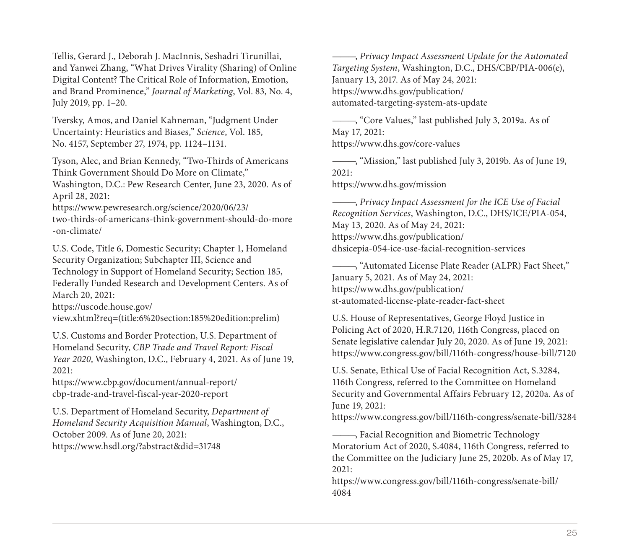Tellis, Gerard J., Deborah J. MacInnis, Seshadri Tirunillai, and Yanwei Zhang, "What Drives Virality (Sharing) of Online Digital Content? The Critical Role of Information, Emotion, and Brand Prominence," *Journal of Marketing*, Vol. 83, No. 4, [July 2019, pp. 1–20.](https://uscode.house.gov/view.xhtml?req=(title:6%20section:185%20edition:prelim))

Tversky, Amos, and Daniel Kahneman, "Judgment Under Uncertainty: Heuristics and Biases," *Science*, Vol. 185, No. 4157, September 27, 1974, pp. 1124–1131.

Tyson, Alec, and Brian Kennedy, "Two-Thirds of Americans [Think Government Should Do More on Climat](https://www.cbp.gov/document/annual-report/cbp-trade-and-travel-fiscal-year-2020-report)e," Washington, D.C.: Pew Research Center, June 23, 2020. As of April 28, 2021:

https://www.pewresearch.org/science/2020/06/23/ two-thirds-of-americans-think-government-should-do-more [-on-climate/](https://www.hsdl.org/?abstract&did=31748)

U.S. Code, Title 6, Domestic Security; Chapter 1, Homeland Security Organization; Subchapter III, Science and Technology in Support of Homeland Security; Section 185, Federally Funded Research and Development Centers. As of March 20, 2021:

https://uscode.house.gov/

view.xhtml?req=(title:6%20section:185%20edition:prelim)

U.S. Customs and Border Protection, U.S. Department of Homeland Security, *CBP Trade and Travel Report: Fiscal Year 2020*, Washington, D.C., February 4, 2021. As of June 19, 2021:

https://www.cbp.gov/document/annual-report/ cbp-trade-and-travel-fiscal-year-2020-report

U.S. Department of Homeland Security, *Department of Homeland Security Acquisition Manual*, Washington, D.C., October 2009. As of June 20, 2021: https://www.hsdl.org/?abstract&did=31748

———, *Privacy Impact Assessment Update for the Automated Targeting System*, Washington, D.C., DHS/CBP/PIA-006(e), [January 13, 2017. As of May 24, 2021:](https://www.dhs.gov/publication/st-automated-license-plate-reader-fact-sheet)  https://www.dhs.gov/publication/ automated-targeting-system-ats-update

———, "Core Values," last published July 3, 2019a. As of May 17, 2021: [https://www.dhs.gov/core-values](https://www.congress.gov/bill/116th-congress/house-bill/7120)

———, "Mission," last published July 3, 2019b. As of June 19,  $2021$ 

https://www.dhs.gov/mission

———, *[Privacy Impact Assessment for the ICE Use of Facial](https://www.congress.gov/bill/116th-congress/senate-bill/3284)  Recognition Services*, Washington, D.C., DHS/ICE/PIA-054, May 13, 2020. As of May 24, 2021: https://www.dhs.gov/publication/ dhsicepia-054-ice-use-facial-recognition-services

[———, "Automated License Plate Reader \(ALPR\) Fact Shee](https://www.congress.gov/bill/116th-congress/senate-bill/4084)t," January 5, 2021. As of May 24, 2021: https://www.dhs.gov/publication/ st-automated-license-plate-reader-fact-sheet

U.S. House of Representatives, George Floyd Justice in Policing Act of 2020, H.R.7120, 116th Congress, placed on Senate legislative calendar July 20, 2020. As of June 19, 2021: https://www.congress.gov/bill/116th-congress/house-bill/7120

U.S. Senate, Ethical Use of Facial Recognition Act, S.3284, 116th Congress, referred to the Committee on Homeland Security and Governmental Affairs February 12, 2020a. As of June 19, 2021:

https://www.congress.gov/bill/116th-congress/senate-bill/3284

———, Facial Recognition and Biometric Technology Moratorium Act of 2020, S.4084, 116th Congress, referred to the Committee on the Judiciary June 25, 2020b. As of May 17, 2021:

https://www.congress.gov/bill/116th-congress/senate-bill/ 4084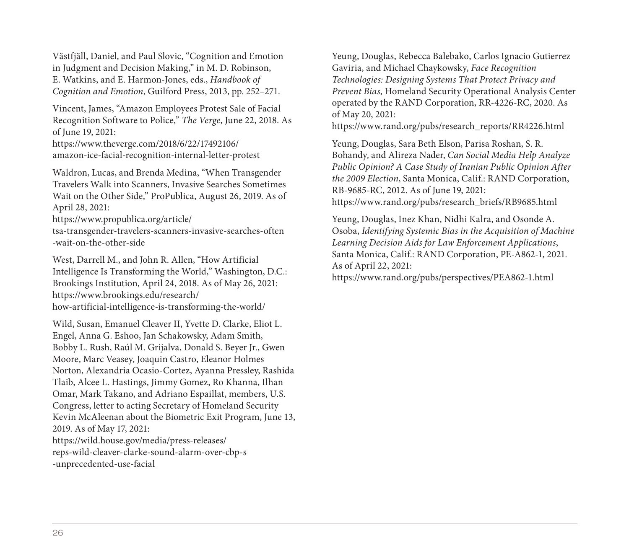Västfjäll, Daniel, and Paul Slovic, "Cognition and Emotion in Judgment and Decision Making," in M. D. Robinson, E. Watkins, and E. Harmon-Jones, eds., *Handbook of Cognition and Emotion*[, Guilford Press, 2013, pp. 252–2](https://www.brookings.edu/research/how-artificial-intelligence-is-transforming-the-world/)71.

Vincent, James, "Amazon Employees Protest Sale of Facial Recognition Software to Police," *The Verge*, June 22, 2018. As of June 19, 2021:

https://www.theverge.com/2018/6/22/17492106/ amazon-ice-facial-recognition-internal-letter-protest

Waldron, Lucas, and Brenda Medina, "When Transgender Travelers Walk into Scanners, Invasive Searches Sometimes Wait on the Other Side," ProPublica, August 26, 2019. As of April 28, 2021:

https://www.propublica.org/article/ [tsa-transgender-travelers-scanners-invasive-search](https://wild.house.gov/media/press-releases/reps-wild-cleaver-clarke-sound-alarm-over-cbp-s-unprecedented-use-facial)es-often -wait-on-the-other-side

West, Darrell M., and John R. Allen, "How Artificial Intelligence Is Transforming the World," Washington, D.C.: Brookings Institution, April 24, 2018. As of May 26, 2021: https://www.brookings.edu/research/ how-artificial-intelligence-is-transforming-the-world/

Wild, Susan, Emanuel Cleaver II, Yvette D. Clarke, Eliot L. Engel, Anna G. Eshoo, Jan Schakowsky, Adam Smith, Bobby L. Rush, Raúl M. Grijalva, Donald S. Beyer Jr., Gwen Moore, Marc Veasey, Joaquin Castro, Eleanor Holmes Norton, Alexandria Ocasio-Cortez, Ayanna Pressley, Rashida Tlaib, Alcee L. Hastings, Jimmy Gomez, Ro Khanna, Ilhan Omar, Mark Takano, and Adriano Espaillat, members, U.S. Congress, letter to acting Secretary of Homeland Security Kevin McAleenan about the Biometric Exit Program, June 13, 2019. As of May 17, 2021: https://wild.house.gov/media/press-releases/ reps-wild-cleaver-clarke-sound-alarm-over-cbp-s

-unprecedented-use-facial

Yeung, Douglas, Rebecca Balebako, Carlos Ignacio Gutierrez [Gaviria, and Michael Chaykowsky,](https://www.rand.org/pubs/perspectives/PEA862-1.html) *Face Recognition Technologies: Designing Systems That Protect Privacy and Prevent Bias*, Homeland Security Operational Analysis Center operated by the RAND Corporation, RR-4226-RC, 2020. As of May 20, 2021:

https://www.rand.org/pubs/research\_reports/RR4226.html

Yeung, Douglas, Sara Beth Elson, Parisa Roshan, S. R. Bohandy, and Alireza Nader, *Can Social Media Help Analyze Public Opinion? A Case Study of Iranian Public Opinion After the 2009 Election*, Santa Monica, Calif.: RAND Corporation, RB-9685-RC, 2012. As of June 19, 2021:

https://www.rand.org/pubs/research\_briefs/RB9685.html

Yeung, Douglas, Inez Khan, Nidhi Kalra, and Osonde A. Osoba, *Identifying Systemic Bias in the Acquisition of Machine Learning Decision Aids for Law Enforcement Applications*, Santa Monica, Calif.: RAND Corporation, PE-A862-1, 2021. As of April 22, 2021:

https://www.rand.org/pubs/perspectives/PEA862-1.html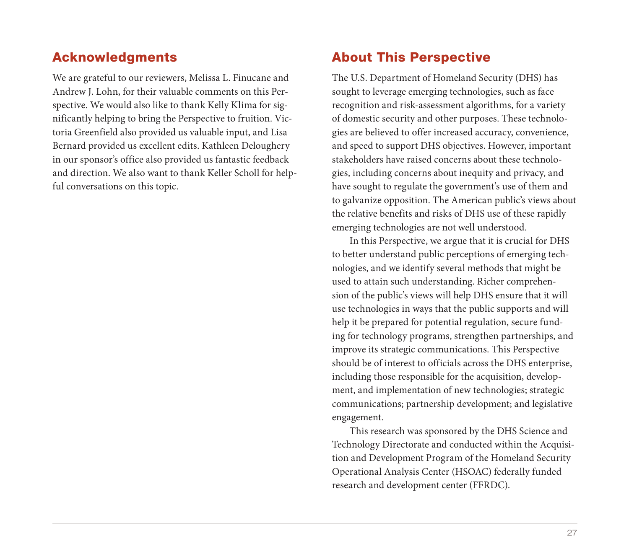# Acknowledgments

We are grateful to our reviewers, Melissa L. Finucane and Andrew J. Lohn, for their valuable comments on this Perspective. We would also like to thank Kelly Klima for significantly helping to bring the Perspective to fruition. Victoria Greenfield also provided us valuable input, and Lisa Bernard provided us excellent edits. Kathleen Deloughery in our sponsor's office also provided us fantastic feedback and direction. We also want to thank Keller Scholl for helpful conversations on this topic.

## About This Perspective

The U.S. Department of Homeland Security (DHS) has sought to leverage emerging technologies, such as face recognition and risk-assessment algorithms, for a variety of domestic security and other purposes. These technologies are believed to offer increased accuracy, convenience, and speed to support DHS objectives. However, important stakeholders have raised concerns about these technologies, including concerns about inequity and privacy, and have sought to regulate the government's use of them and to galvanize opposition. The American public's views about the relative benefits and risks of DHS use of these rapidly emerging technologies are not well understood.

In this Perspective, we argue that it is crucial for DHS to better understand public perceptions of emerging technologies, and we identify several methods that might be used to attain such understanding. Richer comprehension of the public's views will help DHS ensure that it will use technologies in ways that the public supports and will help it be prepared for potential regulation, secure funding for technology programs, strengthen partnerships, and improve its strategic communications. This Perspective should be of interest to officials across the DHS enterprise, including those responsible for the acquisition, development, and implementation of new technologies; strategic communications; partnership development; and legislative engagement.

This research was sponsored by the DHS Science and Technology Directorate and conducted within the Acquisition and Development Program of the Homeland Security Operational Analysis Center (HSOAC) federally funded research and development center (FFRDC).